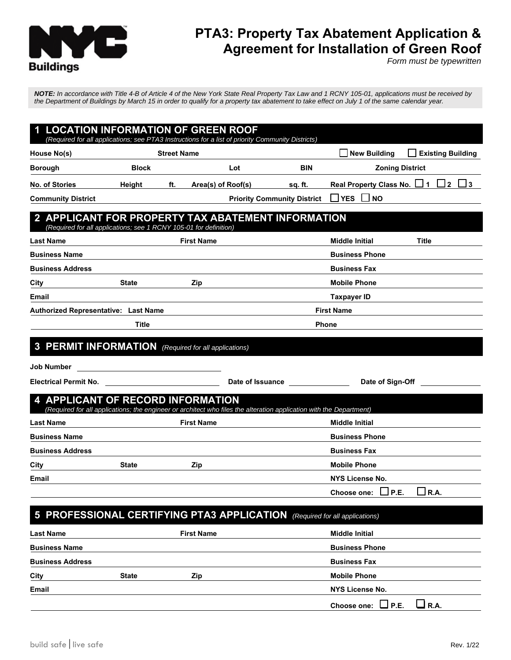

# **PTA3: Property Tax Abatement Application & Agreement for Installation of Green Roof**

*Form must be typewritten*

*NOTE: In accordance with Title 4-B of Article 4 of the New York State Real Property Tax Law and 1 RCNY 105-01, applications must be received by the Department of Buildings by March 15 in order to qualify for a property tax abatement to take effect on July 1 of the same calendar year.*

| <b>LOCATION INFORMATION OF GREEN ROOF</b><br>(Required for all applications; see PTA3 Instructions for a list of priority Community Districts)                |                       |                                               |                        |                                    |                                          |                              |
|---------------------------------------------------------------------------------------------------------------------------------------------------------------|-----------------------|-----------------------------------------------|------------------------|------------------------------------|------------------------------------------|------------------------------|
| House No(s)                                                                                                                                                   |                       | <b>Street Name</b>                            |                        |                                    | <b>New Building</b>                      | <b>Existing Building</b>     |
| <b>Borough</b>                                                                                                                                                | <b>Block</b>          |                                               | Lot                    | <b>BIN</b>                         | <b>Zoning District</b>                   |                              |
| No. of Stories                                                                                                                                                | Height                | ft.                                           | Area(s) of Roof(s)     | sq. ft.                            | Real Property Class No. 11               | $\sqcup$ 2<br>$\overline{3}$ |
| <b>Community District</b>                                                                                                                                     |                       |                                               |                        | <b>Priority Community District</b> | <b>YES</b><br>$\Box$ NO                  |                              |
| 2 APPLICANT FOR PROPERTY TAX ABATEMENT INFORMATION<br>(Required for all applications; see 1 RCNY 105-01 for definition)                                       |                       |                                               |                        |                                    |                                          |                              |
| <b>Last Name</b>                                                                                                                                              |                       | <b>First Name</b>                             |                        |                                    | <b>Middle Initial</b>                    | <b>Title</b>                 |
| <b>Business Name</b>                                                                                                                                          |                       |                                               |                        |                                    | <b>Business Phone</b>                    |                              |
| <b>Business Address</b>                                                                                                                                       |                       |                                               |                        |                                    | <b>Business Fax</b>                      |                              |
| City                                                                                                                                                          | <b>State</b>          | Zip                                           |                        |                                    | <b>Mobile Phone</b>                      |                              |
| Email                                                                                                                                                         |                       |                                               |                        |                                    | <b>Taxpayer ID</b>                       |                              |
| <b>Authorized Representative: Last Name</b><br><b>First Name</b>                                                                                              |                       |                                               |                        |                                    |                                          |                              |
|                                                                                                                                                               | Title<br><b>Phone</b> |                                               |                        |                                    |                                          |                              |
| <b>PERMIT INFORMATION</b> (Required for all applications)<br>$\mathbf{3}$                                                                                     |                       |                                               |                        |                                    |                                          |                              |
| Job Number                                                                                                                                                    |                       | <u> 1980 - Andrea Andrew Maria (h. 1980).</u> |                        |                                    |                                          |                              |
| <b>Electrical Permit No.</b>                                                                                                                                  |                       |                                               |                        | Date of Issuance                   | Date of Sign-Off                         |                              |
| <b>APPLICANT OF RECORD INFORMATION</b><br>(Required for all applications; the engineer or architect who files the alteration application with the Department) |                       |                                               |                        |                                    |                                          |                              |
| <b>Last Name</b>                                                                                                                                              |                       | <b>First Name</b>                             |                        |                                    | <b>Middle Initial</b>                    |                              |
| <b>Business Name</b>                                                                                                                                          |                       |                                               | <b>Business Phone</b>  |                                    |                                          |                              |
| <b>Business Address</b>                                                                                                                                       |                       |                                               |                        |                                    | <b>Business Fax</b>                      |                              |
| City                                                                                                                                                          | <b>State</b>          | Zip                                           | <b>Mobile Phone</b>    |                                    |                                          |                              |
| Email                                                                                                                                                         |                       |                                               | <b>NYS License No.</b> |                                    |                                          |                              |
|                                                                                                                                                               |                       |                                               |                        |                                    | ш<br><b>Choose one:</b><br>$\sqcup$ P.E. | m<br>$\Box$ R.A.             |
| <b>PROFESSIONAL CERTIFYING PTA3 APPLICATION</b> (Required for all applications)<br>5                                                                          |                       |                                               |                        |                                    |                                          |                              |
| Last Name                                                                                                                                                     |                       | <b>First Name</b>                             |                        |                                    | <b>Middle Initial</b>                    |                              |
| <b>Business Name</b>                                                                                                                                          |                       |                                               |                        |                                    | <b>Business Phone</b>                    |                              |
| <b>Business Address</b>                                                                                                                                       |                       |                                               |                        |                                    | <b>Business Fax</b>                      |                              |
| City                                                                                                                                                          | <b>State</b>          | Zip                                           |                        |                                    | <b>Mobile Phone</b>                      |                              |

**Email NYS License No.**

| Choose one: $\Box$ P.E. | $\Box$ R.A. |
|-------------------------|-------------|
|                         |             |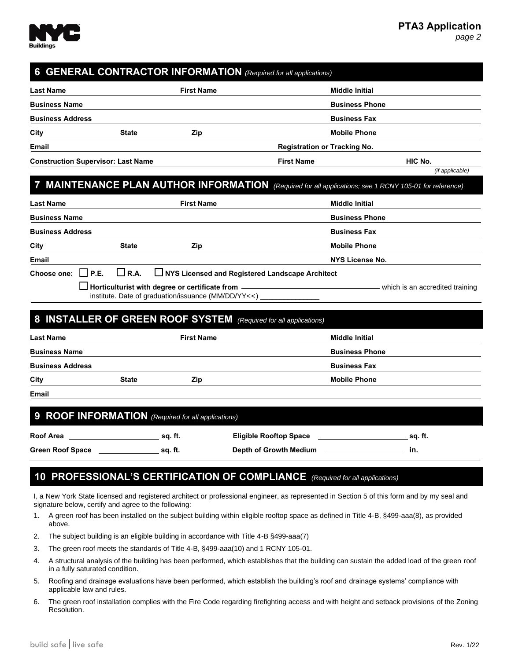

*(if applicable)*

*page 2*

## **6 GENERAL CONTRACTOR INFORMATION** *(Required for all applications)*

| <b>Last Name</b>                          |              | <b>First Name</b><br><b>Middle Initial</b> |                                     |         |  |
|-------------------------------------------|--------------|--------------------------------------------|-------------------------------------|---------|--|
| <b>Business Name</b>                      |              |                                            | <b>Business Phone</b>               |         |  |
| <b>Business Address</b>                   |              |                                            | <b>Business Fax</b>                 |         |  |
| City                                      | <b>State</b> | Zip                                        | <b>Mobile Phone</b>                 |         |  |
| Email                                     |              |                                            | <b>Registration or Tracking No.</b> |         |  |
| <b>Construction Supervisor: Last Name</b> |              |                                            | <b>First Name</b>                   | HIC No. |  |

## **7 MAINTENANCE PLAN AUTHOR INFORMATION** *(Required for all applications; see 1 RCNY 105-01 for reference)*

| <b>Last Name</b>        |              | <b>First Name</b>                                                                                                   | <b>Middle Initial</b>           |
|-------------------------|--------------|---------------------------------------------------------------------------------------------------------------------|---------------------------------|
| <b>Business Name</b>    |              |                                                                                                                     | <b>Business Phone</b>           |
| <b>Business Address</b> |              |                                                                                                                     | <b>Business Fax</b>             |
| City                    | <b>State</b> | Zip                                                                                                                 | <b>Mobile Phone</b>             |
| Email                   |              |                                                                                                                     | NYS License No.                 |
|                         |              | Choose one: $\Box$ P.E. $\Box$ R.A. $\Box$ NYS Licensed and Registered Landscape Architect                          |                                 |
|                         |              | $\Box$ Horticulturist with degree or certificate from $\,$ -<br>institute. Date of graduation/issuance (MM/DD/YYYY) | which is an accredited training |

#### **8 INSTALLER OF GREEN ROOF SYSTEM** *(Required for all applications)*

|              | <b>First Name</b> | <b>Middle Initial</b> |
|--------------|-------------------|-----------------------|
|              |                   | <b>Business Phone</b> |
|              |                   | <b>Business Fax</b>   |
| <b>State</b> | Zip               | <b>Mobile Phone</b>   |
|              |                   |                       |

**Email**

#### **9 ROOF INFORMATION** *(Required for all applications)*

| <b>Roof Area</b>        | sa. ft. | <b>Eligible Rooftop Space</b> | sa. ft. |
|-------------------------|---------|-------------------------------|---------|
| <b>Green Roof Space</b> | sa. ft. | Depth of Growth Medium        | - ın.   |

#### **10 PROFESSIONAL'S CERTIFICATION OF COMPLIANCE** *(Required for all applications)*

I, a New York State licensed and registered architect or professional engineer, as represented in Section 5 of this form and by my seal and signature below, certify and agree to the following:

- 1. A green roof has been installed on the subject building within eligible rooftop space as defined in Title 4-B, §499-aaa(8), as provided above.
- 2. The subject building is an eligible building in accordance with Title 4-B §499-aaa(7)
- 3. The green roof meets the standards of Title 4-B, §499-aaa(10) and 1 RCNY 105-01.
- 4. A structural analysis of the building has been performed, which establishes that the building can sustain the added load of the green roof in a fully saturated condition.
- 5. Roofing and drainage evaluations have been performed, which establish the building's roof and drainage systems' compliance with applicable law and rules.
- 6. The green roof installation complies with the Fire Code regarding firefighting access and with height and setback provisions of the Zoning Resolution.